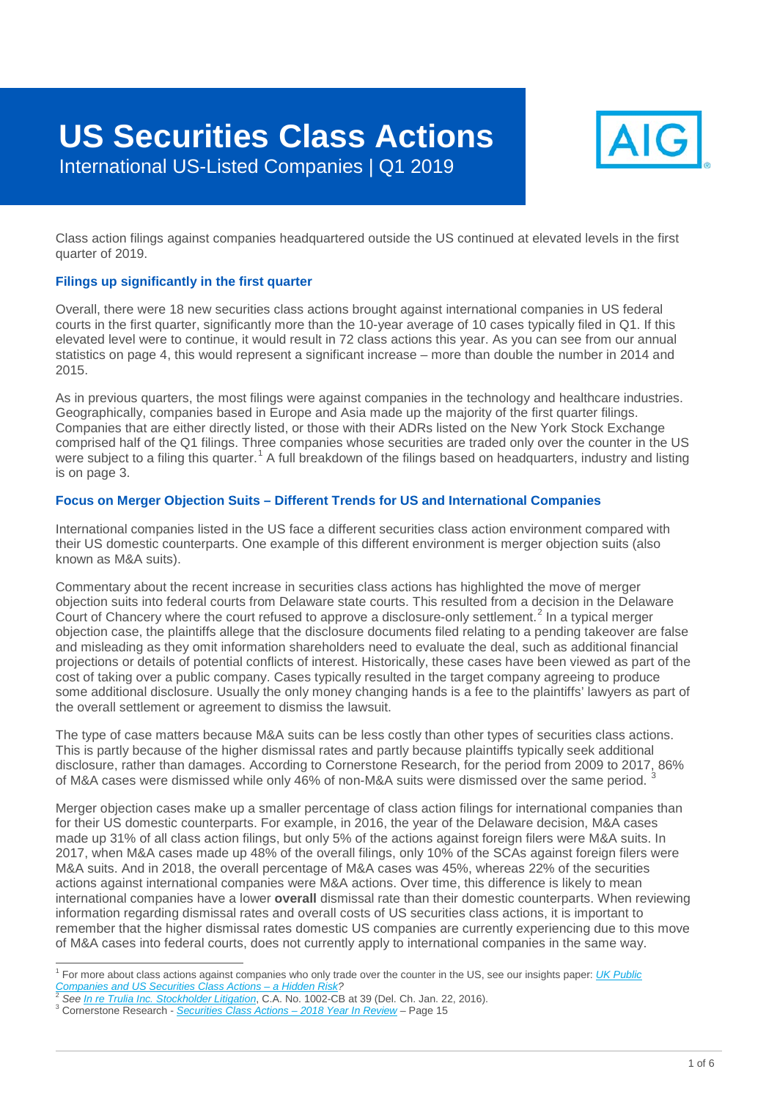# **US Securities Class Actions**



International US-Listed Companies | Q1 2019

Class action filings against companies headquartered outside the US continued at elevated levels in the first quarter of 2019.

#### **Filings up significantly in the first quarter**

Overall, there were 18 new securities class actions brought against international companies in US federal courts in the first quarter, significantly more than the 10-year average of 10 cases typically filed in Q1. If this elevated level were to continue, it would result in 72 class actions this year. As you can see from our annual statistics on page 4, this would represent a significant increase – more than double the number in 2014 and 2015.

As in previous quarters, the most filings were against companies in the technology and healthcare industries. Geographically, companies based in Europe and Asia made up the majority of the first quarter filings. Companies that are either directly listed, or those with their ADRs listed on the New York Stock Exchange comprised half of the Q1 filings. Three companies whose securities are traded only over the counter in the US were subject to a filing this quarter.<sup>[1](#page-0-0)</sup> A full breakdown of the filings based on headquarters, industry and listing is on page 3.

#### **Focus on Merger Objection Suits – Different Trends for US and International Companies**

International companies listed in the US face a different securities class action environment compared with their US domestic counterparts. One example of this different environment is merger objection suits (also known as M&A suits).

Commentary about the recent increase in securities class actions has highlighted the move of merger objection suits into federal courts from Delaware state courts. This resulted from a decision in the Delaware Court of Chancery where the court refused to approve a disclosure-only settlement.<sup>[2](#page-0-1)</sup> In a typical merger objection case, the plaintiffs allege that the disclosure documents filed relating to a pending takeover are false and misleading as they omit information shareholders need to evaluate the deal, such as additional financial projections or details of potential conflicts of interest. Historically, these cases have been viewed as part of the cost of taking over a public company. Cases typically resulted in the target company agreeing to produce some additional disclosure. Usually the only money changing hands is a fee to the plaintiffs' lawyers as part of the overall settlement or agreement to dismiss the lawsuit.

The type of case matters because M&A suits can be less costly than other types of securities class actions. This is partly because of the higher dismissal rates and partly because plaintiffs typically seek additional disclosure, rather than damages. According to Cornerstone Research, for the period from 2009 to 2017, 86% of M&A cases were dismissed while only 46% of non-M&A suits were dismissed over the same period. [3](#page-0-2)

Merger objection cases make up a smaller percentage of class action filings for international companies than for their US domestic counterparts. For example, in 2016, the year of the Delaware decision, M&A cases made up 31% of all class action filings, but only 5% of the actions against foreign filers were M&A suits. In 2017, when M&A cases made up 48% of the overall filings, only 10% of the SCAs against foreign filers were M&A suits. And in 2018, the overall percentage of M&A cases was 45%, whereas 22% of the securities actions against international companies were M&A actions. Over time, this difference is likely to mean international companies have a lower **overall** dismissal rate than their domestic counterparts. When reviewing information regarding dismissal rates and overall costs of US securities class actions, it is important to remember that the higher dismissal rates domestic US companies are currently experiencing due to this move of M&A cases into federal courts, does not currently apply to international companies in the same way.

<span id="page-0-0"></span><sup>&</sup>lt;sup>1</sup> For more about class actions against companies who only trade over the counter in the US, see our insights paper: *<u>[UK Public](https://www.aig.co.uk/content/dam/aig/emea/united-kingdom/documents/hosted-documents/aig-uk-companies-and-scas-adrs.pdf) Companies and US Securities Class Actions – a Hidden Risk?*<br><sup>2</sup> See In to Trulia Inc. Stackh</u>

<span id="page-0-1"></span><sup>&</sup>lt;sup>2</sup> See <u>In re Trulia Inc. Stockholder Litigation</u>[,](https://courts.delaware.gov/opinions/download.aspx?ID=235370) [C.A. No. 1002-CB at 39 \(Del. C](http://securities.stanford.edu/research-reports/1996-2018/Cornerstone-Research-Securities-Class-Action-Filings-2018-YIR.pdf)h. Jan. 22, 2016).<br><sup>3</sup> Cornerstone Research - Securities Class Actions - 2018 Year In Review - Page 15

<span id="page-0-2"></span>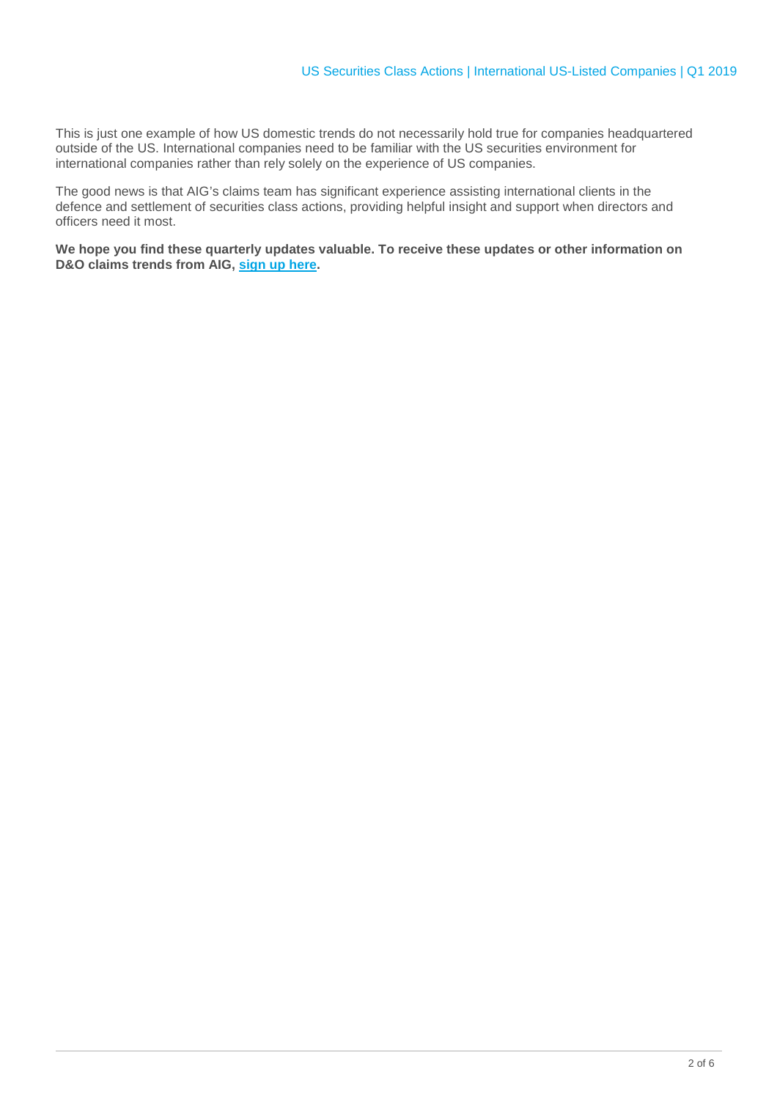This is just one example of how US domestic trends do not necessarily hold true for companies headquartered outside of the US. International companies need to be familiar with the US securities environment for international companies rather than rely solely on the experience of US companies.

The good news is that AIG's claims team has significant experience assisting international clients in the defence and settlement of securities class actions, providing helpful insight and support when directors and officers need it most.

**We hope you find these quarterly updates valuable. To receive these updates or other information on D&O claims trends from AIG, [sign up here.](http://www-109.aig.com/SignUp)**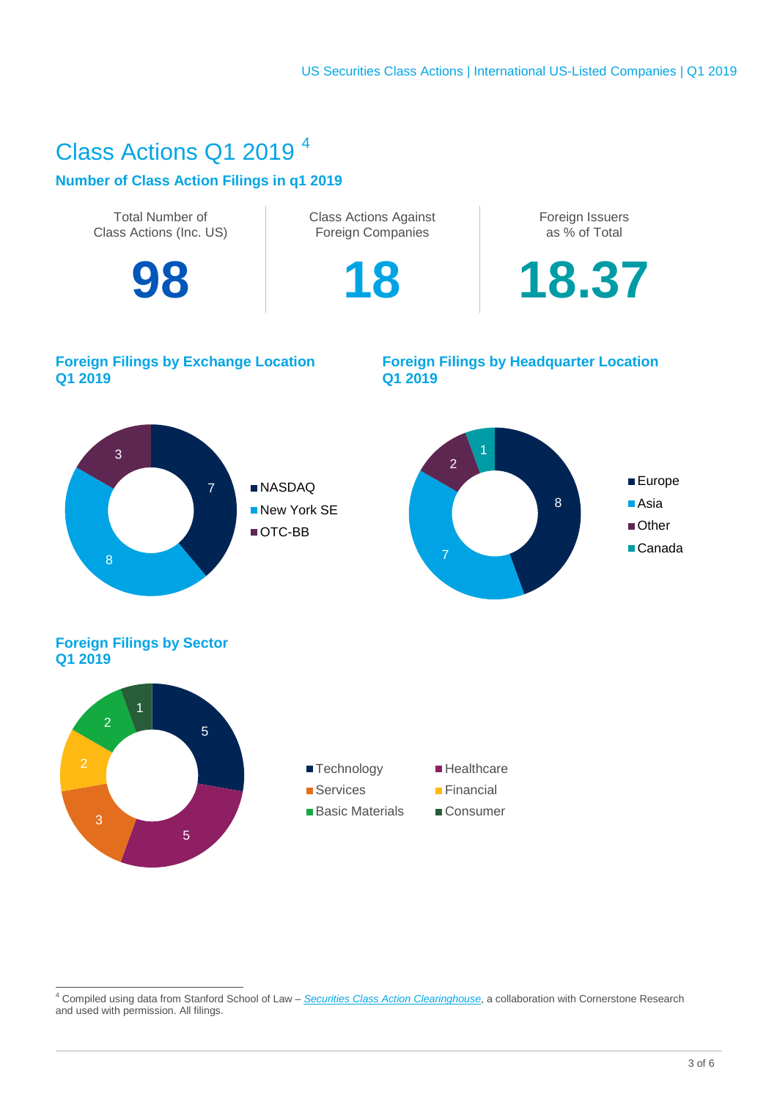### Class Actions Q1 2019 [4](#page-2-0)

#### **Number of Class Action Filings in q1 2019**



<span id="page-2-0"></span> <sup>4</sup> Compiled using data from Stanford School of Law – *[Securities Class Action Clearinghouse](http://securities.stanford.edu/index.html)*, a collaboration with Cornerstone Research and used with permission. All filings.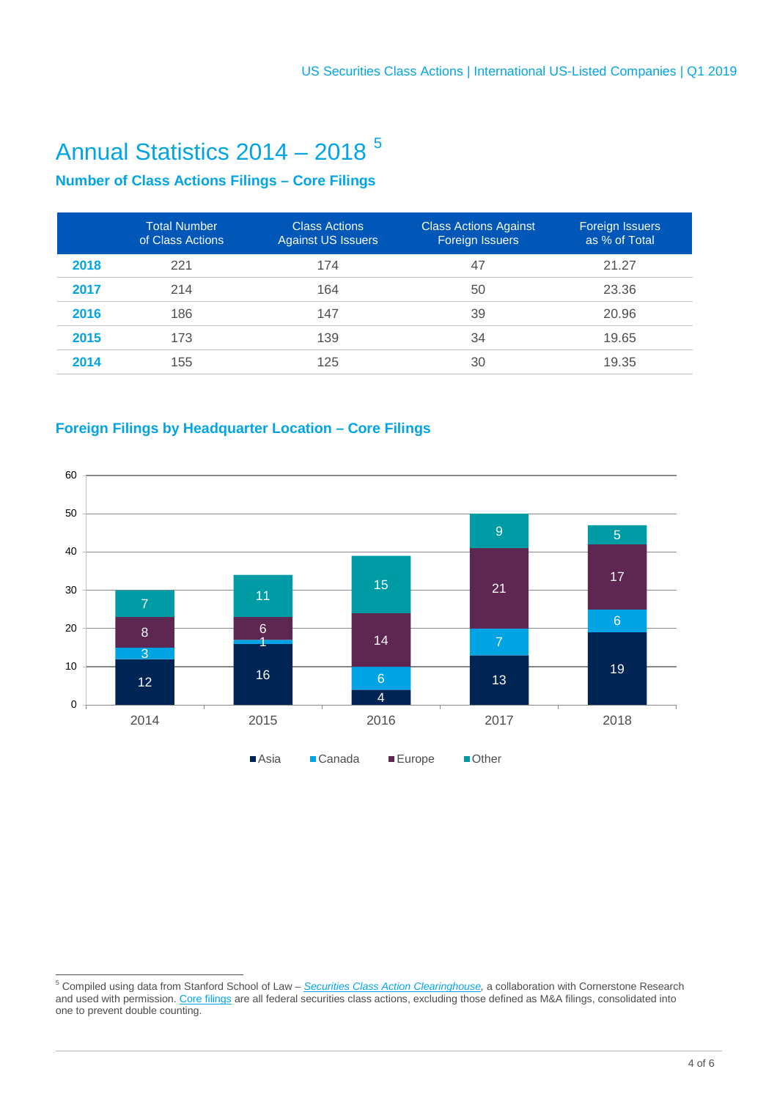## Annual Statistics 2014 – 2018 [5](#page-3-0)

### **Number of Class Actions Filings – Core Filings**

|      | <b>Total Number</b><br>of Class Actions | <b>Class Actions</b><br><b>Against US Issuers</b> | <b>Class Actions Against</b><br>Foreign Issuers | Foreign Issuers<br>as % of Total |
|------|-----------------------------------------|---------------------------------------------------|-------------------------------------------------|----------------------------------|
| 2018 | 221                                     | 174                                               | 47                                              | 21.27                            |
| 2017 | 214                                     | 164                                               | 50                                              | 23.36                            |
| 2016 | 186                                     | 147                                               | 39                                              | 20.96                            |
| 2015 | 173                                     | 139                                               | 34                                              | 19.65                            |
| 2014 | 155                                     | 125                                               | 30                                              | 19.35                            |

### **Foreign Filings by Headquarter Location – Core Filings**



<span id="page-3-0"></span> Compiled using data from Stanford School of Law – *[Securities Class Action Clearinghouse,](http://securities.stanford.edu/index.html)* a collaboration with Cornerstone Research and used with permission. <u>[Core filings](http://securities.stanford.edu/about-the-scac.html)</u> are all federal securities class actions, excluding those defined as M&A filings, consolidated into one to prevent double counting.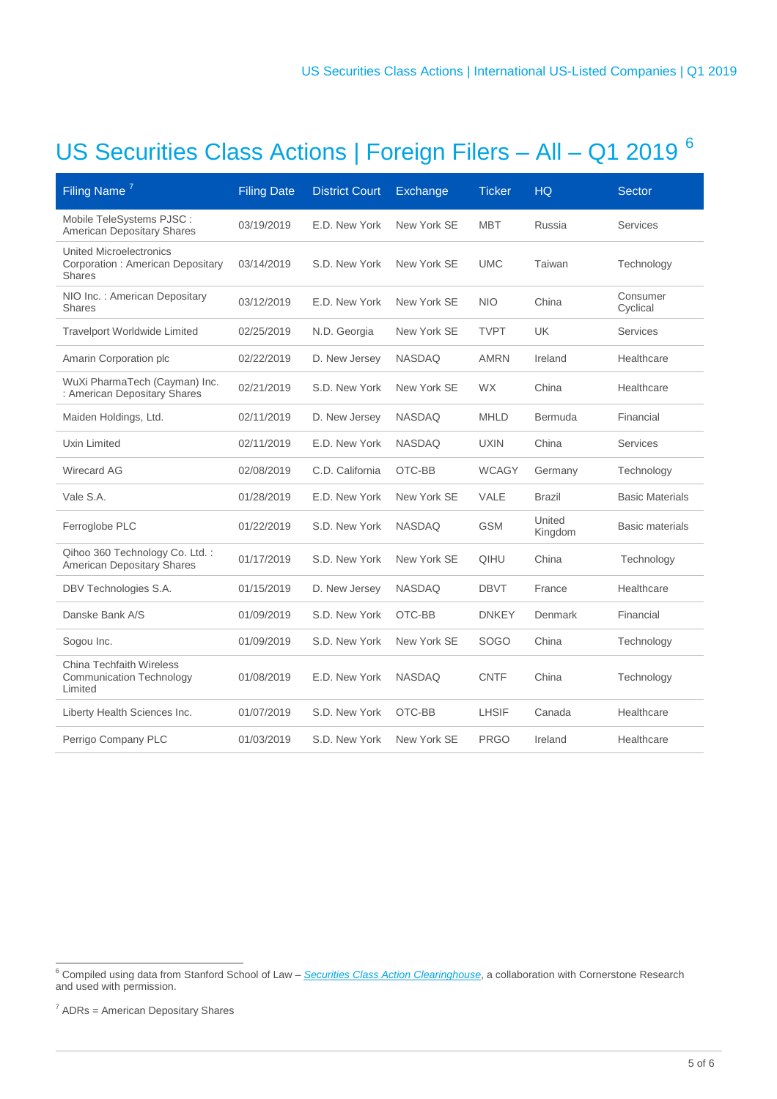# US Securities Class Actions | Foreign Filers – All – Q1 2019 [6](#page-4-0)

| Filing Name <sup>7</sup>                                                            | <b>Filing Date</b> | <b>District Court</b> | Exchange      | <b>Ticker</b> | <b>HQ</b>         | <b>Sector</b>          |
|-------------------------------------------------------------------------------------|--------------------|-----------------------|---------------|---------------|-------------------|------------------------|
| Mobile TeleSystems PJSC :<br><b>American Depositary Shares</b>                      | 03/19/2019         | E.D. New York         | New York SE   | <b>MBT</b>    | Russia            | <b>Services</b>        |
| <b>United Microelectronics</b><br>Corporation: American Depositary<br><b>Shares</b> | 03/14/2019         | S.D. New York         | New York SE   | <b>UMC</b>    | Taiwan            | Technology             |
| NIO Inc.: American Depositary<br><b>Shares</b>                                      | 03/12/2019         | E.D. New York         | New York SE   | <b>NIO</b>    | China             | Consumer<br>Cyclical   |
| <b>Travelport Worldwide Limited</b>                                                 | 02/25/2019         | N.D. Georgia          | New York SE   | <b>TVPT</b>   | <b>UK</b>         | <b>Services</b>        |
| Amarin Corporation plc                                                              | 02/22/2019         | D. New Jersey         | <b>NASDAQ</b> | <b>AMRN</b>   | Ireland           | Healthcare             |
| WuXi PharmaTech (Cayman) Inc.<br>: American Depositary Shares                       | 02/21/2019         | S.D. New York         | New York SE   | <b>WX</b>     | China             | Healthcare             |
| Maiden Holdings, Ltd.                                                               | 02/11/2019         | D. New Jersey         | <b>NASDAQ</b> | <b>MHLD</b>   | Bermuda           | Financial              |
| Uxin Limited                                                                        | 02/11/2019         | E.D. New York         | <b>NASDAQ</b> | <b>UXIN</b>   | China             | Services               |
| <b>Wirecard AG</b>                                                                  | 02/08/2019         | C.D. California       | OTC-BB        | <b>WCAGY</b>  | Germany           | Technology             |
| Vale S.A.                                                                           | 01/28/2019         | E.D. New York         | New York SE   | VALE          | <b>Brazil</b>     | <b>Basic Materials</b> |
| Ferroglobe PLC                                                                      | 01/22/2019         | S.D. New York         | <b>NASDAQ</b> | <b>GSM</b>    | United<br>Kingdom | <b>Basic materials</b> |
| Qihoo 360 Technology Co. Ltd.:<br><b>American Depositary Shares</b>                 | 01/17/2019         | S.D. New York         | New York SE   | QIHU          | China             | Technology             |
| DBV Technologies S.A.                                                               | 01/15/2019         | D. New Jersey         | <b>NASDAQ</b> | <b>DBVT</b>   | France            | Healthcare             |
| Danske Bank A/S                                                                     | 01/09/2019         | S.D. New York         | OTC-BB        | <b>DNKEY</b>  | Denmark           | Financial              |
| Sogou Inc.                                                                          | 01/09/2019         | S.D. New York         | New York SE   | <b>SOGO</b>   | China             | Technology             |
| <b>China Techfaith Wireless</b><br><b>Communication Technology</b><br>Limited       | 01/08/2019         | E.D. New York         | <b>NASDAQ</b> | <b>CNTF</b>   | China             | Technology             |
| Liberty Health Sciences Inc.                                                        | 01/07/2019         | S.D. New York         | OTC-BB        | <b>LHSIF</b>  | Canada            | Healthcare             |
| Perrigo Company PLC                                                                 | 01/03/2019         | S.D. New York         | New York SE   | <b>PRGO</b>   | Ireland           | Healthcare             |

<span id="page-4-0"></span> <sup>6</sup> Compiled using data from Stanford School of Law – *[Securities Class Action Clearinghouse](http://securities.stanford.edu/index.html)*, a collaboration with Cornerstone Research and used with permission.

<span id="page-4-1"></span> $<sup>7</sup>$  ADRs = American Depositary Shares</sup>